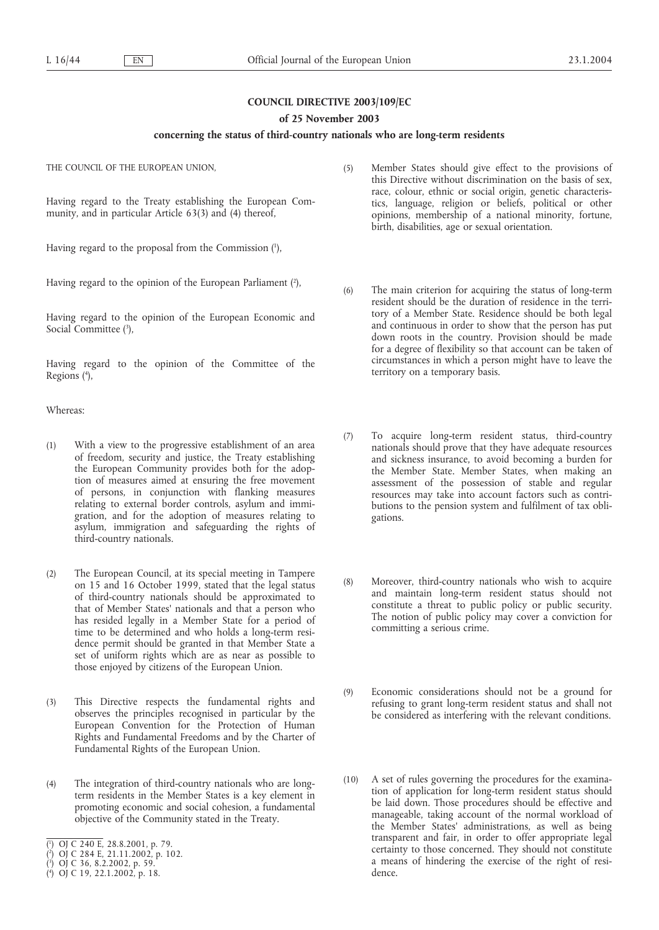# **COUNCIL DIRECTIVE 2003/109/EC**

#### **of 25 November 2003**

#### **concerning the status of third-country nationals who are long-term residents**

THE COUNCIL OF THE EUROPEAN UNION,

Having regard to the Treaty establishing the European Community, and in particular Article 63(3) and (4) thereof,

Having regard to the proposal from the Commission (1 ),

Having regard to the opinion of the European Parliament (?),

Having regard to the opinion of the European Economic and Social Committee (3),

Having regard to the opinion of the Committee of the Regions (4),

Whereas:

- (1) With a view to the progressive establishment of an area of freedom, security and justice, the Treaty establishing the European Community provides both for the adoption of measures aimed at ensuring the free movement of persons, in conjunction with flanking measures relating to external border controls, asylum and immigration, and for the adoption of measures relating to asylum, immigration and safeguarding the rights of third-country nationals.
- (2) The European Council, at its special meeting in Tampere on 15 and 16 October 1999, stated that the legal status of third-country nationals should be approximated to that of Member States' nationals and that a person who has resided legally in a Member State for a period of time to be determined and who holds a long-term residence permit should be granted in that Member State a set of uniform rights which are as near as possible to those enjoyed by citizens of the European Union.
- (3) This Directive respects the fundamental rights and observes the principles recognised in particular by the European Convention for the Protection of Human Rights and Fundamental Freedoms and by the Charter of Fundamental Rights of the European Union.
- (4) The integration of third-country nationals who are longterm residents in the Member States is a key element in promoting economic and social cohesion, a fundamental objective of the Community stated in the Treaty.
- ( 1 ) OJ C 240 E, 28.8.2001, p. 79.
- (5) Member States should give effect to the provisions of this Directive without discrimination on the basis of sex, race, colour, ethnic or social origin, genetic characteristics, language, religion or beliefs, political or other opinions, membership of a national minority, fortune, birth, disabilities, age or sexual orientation.
- (6) The main criterion for acquiring the status of long-term resident should be the duration of residence in the territory of a Member State. Residence should be both legal and continuous in order to show that the person has put down roots in the country. Provision should be made for a degree of flexibility so that account can be taken of circumstances in which a person might have to leave the territory on a temporary basis.
- (7) To acquire long-term resident status, third-country nationals should prove that they have adequate resources and sickness insurance, to avoid becoming a burden for the Member State. Member States, when making an assessment of the possession of stable and regular resources may take into account factors such as contributions to the pension system and fulfilment of tax obligations.
- (8) Moreover, third-country nationals who wish to acquire and maintain long-term resident status should not constitute a threat to public policy or public security. The notion of public policy may cover a conviction for committing a serious crime.
- (9) Economic considerations should not be a ground for refusing to grant long-term resident status and shall not be considered as interfering with the relevant conditions.
- (10) A set of rules governing the procedures for the examination of application for long-term resident status should be laid down. Those procedures should be effective and manageable, taking account of the normal workload of the Member States' administrations, as well as being transparent and fair, in order to offer appropriate legal certainty to those concerned. They should not constitute a means of hindering the exercise of the right of residence.

<sup>(</sup> 2 ) OJ C 284 E, 21.11.2002, p. 102.

<sup>(</sup> 3 ) OJ C 36, 8.2.2002, p. 59.

<sup>(</sup> 4 ) OJ C 19, 22.1.2002, p. 18.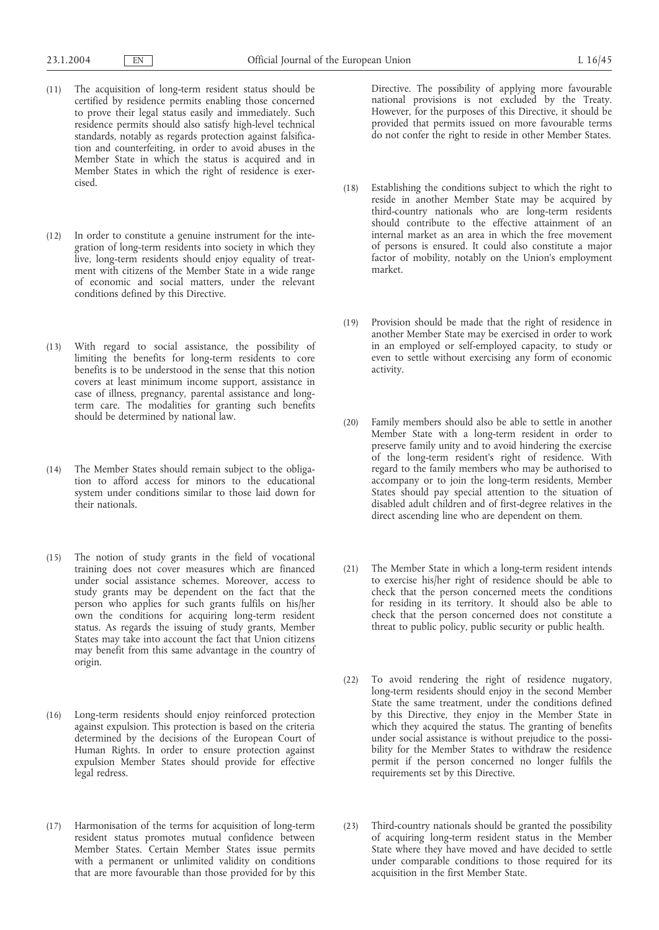- (11) The acquisition of long-term resident status should be certified by residence permits enabling those concerned to prove their legal status easily and immediately. Such residence permits should also satisfy high-level technical standards, notably as regards protection against falsification and counterfeiting, in order to avoid abuses in the Member State in which the status is acquired and in Member States in which the right of residence is exercised.
- (12) In order to constitute a genuine instrument for the integration of long-term residents into society in which they live, long-term residents should enjoy equality of treatment with citizens of the Member State in a wide range of economic and social matters, under the relevant conditions defined by this Directive.
- (13) With regard to social assistance, the possibility of limiting the benefits for long-term residents to core benefits is to be understood in the sense that this notion covers at least minimum income support, assistance in case of illness, pregnancy, parental assistance and longterm care. The modalities for granting such benefits should be determined by national law.
- (14) The Member States should remain subject to the obligation to afford access for minors to the educational system under conditions similar to those laid down for their nationals.
- (15) The notion of study grants in the field of vocational training does not cover measures which are financed under social assistance schemes. Moreover, access to study grants may be dependent on the fact that the person who applies for such grants fulfils on his/her own the conditions for acquiring long-term resident status. As regards the issuing of study grants, Member States may take into account the fact that Union citizens may benefit from this same advantage in the country of origin.
- (16) Long-term residents should enjoy reinforced protection against expulsion. This protection is based on the criteria determined by the decisions of the European Court of Human Rights. In order to ensure protection against expulsion Member States should provide for effective legal redress.
- (17) Harmonisation of the terms for acquisition of long-term resident status promotes mutual confidence between Member States. Certain Member States issue permits with a permanent or unlimited validity on conditions that are more favourable than those provided for by this

Directive. The possibility of applying more favourable national provisions is not excluded by the Treaty. However, for the purposes of this Directive, it should be provided that permits issued on more favourable terms do not confer the right to reside in other Member States.

- (18) Establishing the conditions subject to which the right to reside in another Member State may be acquired by third-country nationals who are long-term residents should contribute to the effective attainment of an internal market as an area in which the free movement of persons is ensured. It could also constitute a major factor of mobility, notably on the Union's employment market.
- (19) Provision should be made that the right of residence in another Member State may be exercised in order to work in an employed or self-employed capacity, to study or even to settle without exercising any form of economic activity.
- (20) Family members should also be able to settle in another Member State with a long-term resident in order to preserve family unity and to avoid hindering the exercise of the long-term resident's right of residence. With regard to the family members who may be authorised to accompany or to join the long-term residents, Member States should pay special attention to the situation of disabled adult children and of first-degree relatives in the direct ascending line who are dependent on them.
- (21) The Member State in which a long-term resident intends to exercise his/her right of residence should be able to check that the person concerned meets the conditions for residing in its territory. It should also be able to check that the person concerned does not constitute a threat to public policy, public security or public health.
- (22) To avoid rendering the right of residence nugatory, long-term residents should enjoy in the second Member State the same treatment, under the conditions defined by this Directive, they enjoy in the Member State in which they acquired the status. The granting of benefits under social assistance is without prejudice to the possibility for the Member States to withdraw the residence permit if the person concerned no longer fulfils the requirements set by this Directive.
- (23) Third-country nationals should be granted the possibility of acquiring long-term resident status in the Member State where they have moved and have decided to settle under comparable conditions to those required for its acquisition in the first Member State.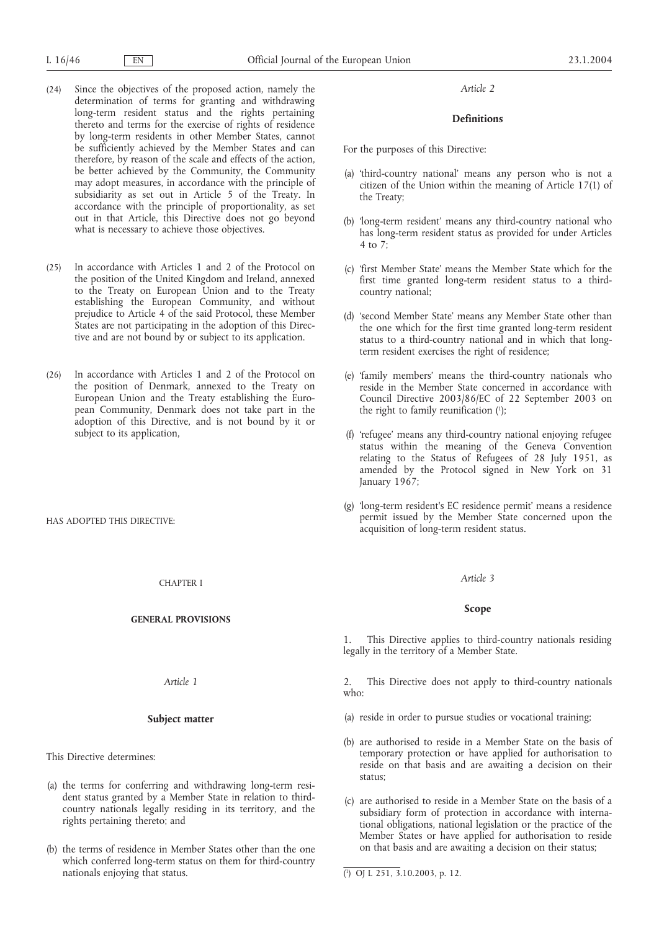- (24) Since the objectives of the proposed action, namely the determination of terms for granting and withdrawing long-term resident status and the rights pertaining thereto and terms for the exercise of rights of residence by long-term residents in other Member States, cannot be sufficiently achieved by the Member States and can therefore, by reason of the scale and effects of the action, be better achieved by the Community, the Community may adopt measures, in accordance with the principle of subsidiarity as set out in Article 5 of the Treaty. In accordance with the principle of proportionality, as set out in that Article, this Directive does not go beyond what is necessary to achieve those objectives.
- (25) In accordance with Articles 1 and 2 of the Protocol on the position of the United Kingdom and Ireland, annexed to the Treaty on European Union and to the Treaty establishing the European Community, and without prejudice to Article 4 of the said Protocol, these Member States are not participating in the adoption of this Directive and are not bound by or subject to its application.
- (26) In accordance with Articles 1 and 2 of the Protocol on the position of Denmark, annexed to the Treaty on European Union and the Treaty establishing the European Community, Denmark does not take part in the adoption of this Directive, and is not bound by it or subject to its application,

HAS ADOPTED THIS DIRECTIVE:

CHAPTER I

#### **GENERAL PROVISIONS**

*Article 1*

#### **Subject matter**

This Directive determines:

- (a) the terms for conferring and withdrawing long-term resident status granted by a Member State in relation to thirdcountry nationals legally residing in its territory, and the rights pertaining thereto; and
- (b) the terms of residence in Member States other than the one which conferred long-term status on them for third-country nationals enjoying that status.

#### *Article 2*

# **Definitions**

For the purposes of this Directive:

- (a) 'third-country national' means any person who is not a citizen of the Union within the meaning of Article 17(1) of the Treaty;
- (b) 'long-term resident' means any third-country national who has long-term resident status as provided for under Articles 4 to 7;
- (c) 'first Member State' means the Member State which for the first time granted long-term resident status to a thirdcountry national;
- (d) 'second Member State' means any Member State other than the one which for the first time granted long-term resident status to a third-country national and in which that longterm resident exercises the right of residence;
- (e) 'family members' means the third-country nationals who reside in the Member State concerned in accordance with Council Directive 2003/86/EC of 22 September 2003 on the right to family reunification  $(1)$ ;
- (f) 'refugee' means any third-country national enjoying refugee status within the meaning of the Geneva Convention relating to the Status of Refugees of 28 July 1951, as amended by the Protocol signed in New York on 31 January 1967;
- (g) 'long-term resident's EC residence permit' means a residence permit issued by the Member State concerned upon the acquisition of long-term resident status.

#### *Article 3*

#### **Scope**

1. This Directive applies to third-country nationals residing legally in the territory of a Member State.

2. This Directive does not apply to third-country nationals who:

- (a) reside in order to pursue studies or vocational training;
- (b) are authorised to reside in a Member State on the basis of temporary protection or have applied for authorisation to reside on that basis and are awaiting a decision on their status;
- (c) are authorised to reside in a Member State on the basis of a subsidiary form of protection in accordance with international obligations, national legislation or the practice of the Member States or have applied for authorisation to reside on that basis and are awaiting a decision on their status;

<sup>(</sup> 1 ) OJ L 251, 3.10.2003, p. 12.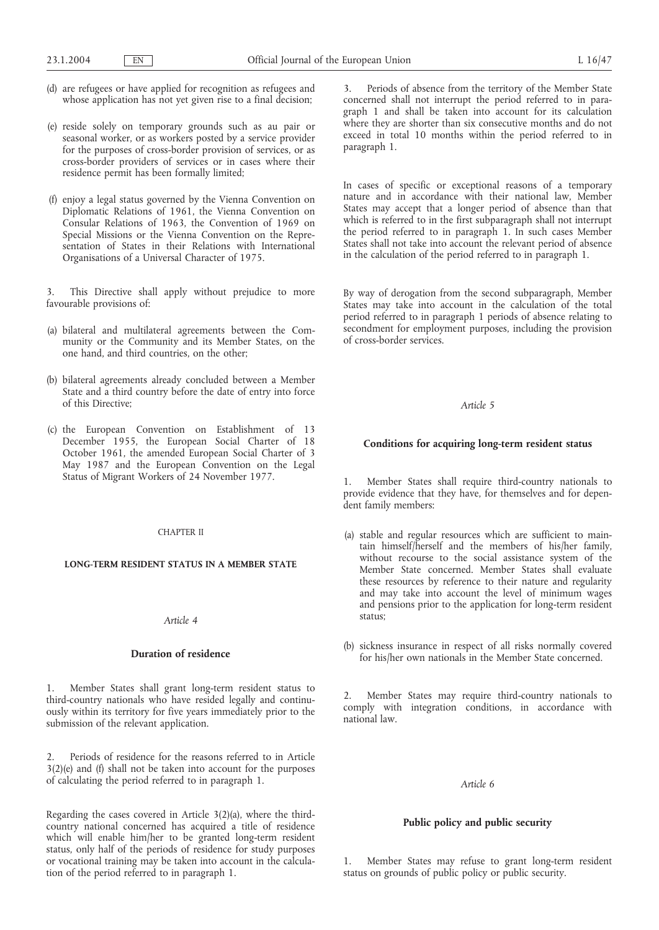- (d) are refugees or have applied for recognition as refugees and whose application has not yet given rise to a final decision;
- (e) reside solely on temporary grounds such as au pair or seasonal worker, or as workers posted by a service provider for the purposes of cross-border provision of services, or as cross-border providers of services or in cases where their residence permit has been formally limited;
- (f) enjoy a legal status governed by the Vienna Convention on Diplomatic Relations of 1961, the Vienna Convention on Consular Relations of 1963, the Convention of 1969 on Special Missions or the Vienna Convention on the Representation of States in their Relations with International Organisations of a Universal Character of 1975.

3. This Directive shall apply without prejudice to more favourable provisions of:

- (a) bilateral and multilateral agreements between the Community or the Community and its Member States, on the one hand, and third countries, on the other;
- (b) bilateral agreements already concluded between a Member State and a third country before the date of entry into force of this Directive;
- (c) the European Convention on Establishment of 13 December 1955, the European Social Charter of 18 October 1961, the amended European Social Charter of 3 May 1987 and the European Convention on the Legal Status of Migrant Workers of 24 November 1977.

#### CHAPTER II

## **LONG-TERM RESIDENT STATUS IN A MEMBER STATE**

#### *Article 4*

### **Duration of residence**

1. Member States shall grant long-term resident status to third-country nationals who have resided legally and continuously within its territory for five years immediately prior to the submission of the relevant application.

2. Periods of residence for the reasons referred to in Article 3(2)(e) and (f) shall not be taken into account for the purposes of calculating the period referred to in paragraph 1.

Regarding the cases covered in Article 3(2)(a), where the thirdcountry national concerned has acquired a title of residence which will enable him/her to be granted long-term resident status, only half of the periods of residence for study purposes or vocational training may be taken into account in the calculation of the period referred to in paragraph 1.

3. Periods of absence from the territory of the Member State concerned shall not interrupt the period referred to in paragraph 1 and shall be taken into account for its calculation where they are shorter than six consecutive months and do not exceed in total 10 months within the period referred to in paragraph 1.

In cases of specific or exceptional reasons of a temporary nature and in accordance with their national law, Member States may accept that a longer period of absence than that which is referred to in the first subparagraph shall not interrupt the period referred to in paragraph 1. In such cases Member States shall not take into account the relevant period of absence in the calculation of the period referred to in paragraph 1.

By way of derogation from the second subparagraph, Member States may take into account in the calculation of the total period referred to in paragraph 1 periods of absence relating to secondment for employment purposes, including the provision of cross-border services.

#### *Article 5*

#### **Conditions for acquiring long-term resident status**

1. Member States shall require third-country nationals to provide evidence that they have, for themselves and for dependent family members:

- (a) stable and regular resources which are sufficient to maintain himself/herself and the members of his/her family, without recourse to the social assistance system of the Member State concerned. Member States shall evaluate these resources by reference to their nature and regularity and may take into account the level of minimum wages and pensions prior to the application for long-term resident status;
- (b) sickness insurance in respect of all risks normally covered for his/her own nationals in the Member State concerned.

2. Member States may require third-country nationals to comply with integration conditions, in accordance with national law.

#### *Article 6*

### **Public policy and public security**

1. Member States may refuse to grant long-term resident status on grounds of public policy or public security.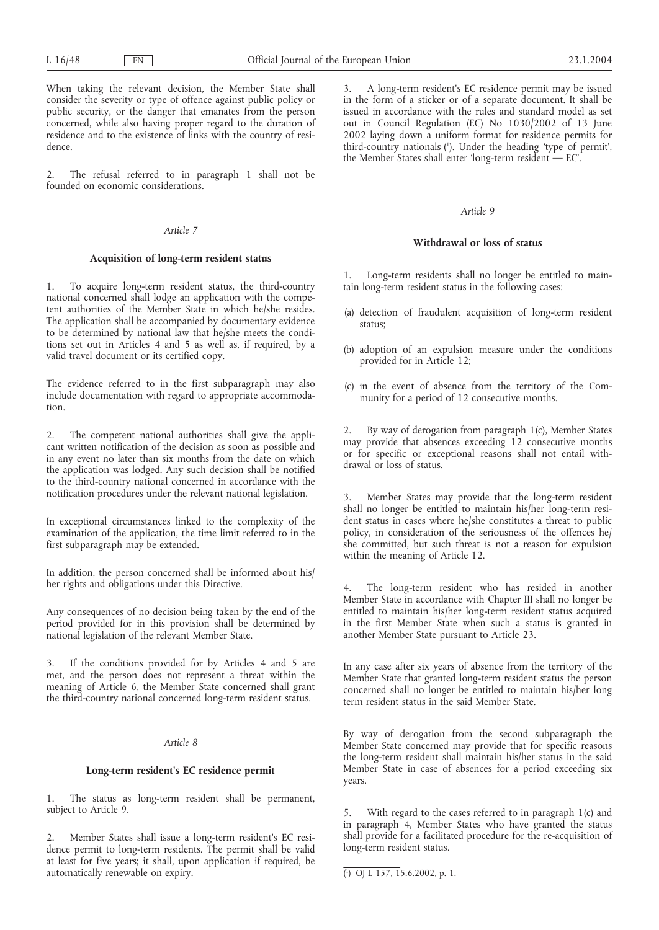When taking the relevant decision, the Member State shall consider the severity or type of offence against public policy or public security, or the danger that emanates from the person concerned, while also having proper regard to the duration of residence and to the existence of links with the country of residence.

2. The refusal referred to in paragraph 1 shall not be founded on economic considerations.

# *Article 7*

# **Acquisition of long-term resident status**

1. To acquire long-term resident status, the third-country national concerned shall lodge an application with the competent authorities of the Member State in which he/she resides. The application shall be accompanied by documentary evidence to be determined by national law that he/she meets the conditions set out in Articles 4 and 5 as well as, if required, by a valid travel document or its certified copy.

The evidence referred to in the first subparagraph may also include documentation with regard to appropriate accommodation.

2. The competent national authorities shall give the applicant written notification of the decision as soon as possible and in any event no later than six months from the date on which the application was lodged. Any such decision shall be notified to the third-country national concerned in accordance with the notification procedures under the relevant national legislation.

In exceptional circumstances linked to the complexity of the examination of the application, the time limit referred to in the first subparagraph may be extended.

In addition, the person concerned shall be informed about his/ her rights and obligations under this Directive.

Any consequences of no decision being taken by the end of the period provided for in this provision shall be determined by national legislation of the relevant Member State.

3. If the conditions provided for by Articles 4 and 5 are met, and the person does not represent a threat within the meaning of Article 6, the Member State concerned shall grant the third-country national concerned long-term resident status.

### *Article 8*

#### **Long-term resident's EC residence permit**

The status as long-term resident shall be permanent, subject to Article 9.

2. Member States shall issue a long-term resident's EC residence permit to long-term residents. The permit shall be valid at least for five years; it shall, upon application if required, be automatically renewable on expiry.

3. A long-term resident's EC residence permit may be issued in the form of a sticker or of a separate document. It shall be issued in accordance with the rules and standard model as set out in Council Regulation (EC) No 1030/2002 of 13 June 2002 laying down a uniform format for residence permits for third-country nationals (1 ). Under the heading 'type of permit', the Member States shall enter 'long-term resident — EC'.

### *Article 9*

### **Withdrawal or loss of status**

Long-term residents shall no longer be entitled to maintain long-term resident status in the following cases:

- (a) detection of fraudulent acquisition of long-term resident status:
- (b) adoption of an expulsion measure under the conditions provided for in Article 12;
- (c) in the event of absence from the territory of the Community for a period of 12 consecutive months.

By way of derogation from paragraph 1(c), Member States may provide that absences exceeding 12 consecutive months or for specific or exceptional reasons shall not entail withdrawal or loss of status.

3. Member States may provide that the long-term resident shall no longer be entitled to maintain his/her long-term resident status in cases where he/she constitutes a threat to public policy, in consideration of the seriousness of the offences he/ she committed, but such threat is not a reason for expulsion within the meaning of Article 12.

The long-term resident who has resided in another Member State in accordance with Chapter III shall no longer be entitled to maintain his/her long-term resident status acquired in the first Member State when such a status is granted in another Member State pursuant to Article 23.

In any case after six years of absence from the territory of the Member State that granted long-term resident status the person concerned shall no longer be entitled to maintain his/her long term resident status in the said Member State.

By way of derogation from the second subparagraph the Member State concerned may provide that for specific reasons the long-term resident shall maintain his/her status in the said Member State in case of absences for a period exceeding six years.

5. With regard to the cases referred to in paragraph 1(c) and in paragraph 4, Member States who have granted the status shall provide for a facilitated procedure for the re-acquisition of long-term resident status.

<sup>(</sup> 1 ) OJ L 157, 15.6.2002, p. 1.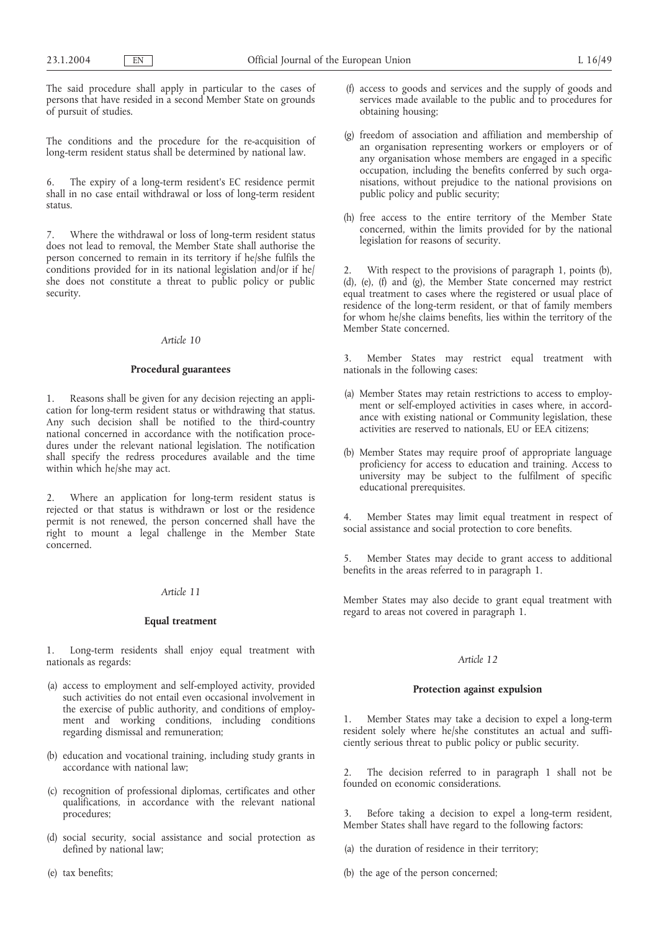The said procedure shall apply in particular to the cases of persons that have resided in a second Member State on grounds of pursuit of studies.

The conditions and the procedure for the re-acquisition of long-term resident status shall be determined by national law.

6. The expiry of a long-term resident's EC residence permit shall in no case entail withdrawal or loss of long-term resident status.

7. Where the withdrawal or loss of long-term resident status does not lead to removal, the Member State shall authorise the person concerned to remain in its territory if he/she fulfils the conditions provided for in its national legislation and/or if he/ she does not constitute a threat to public policy or public security.

#### *Article 10*

### **Procedural guarantees**

1. Reasons shall be given for any decision rejecting an application for long-term resident status or withdrawing that status. Any such decision shall be notified to the third-country national concerned in accordance with the notification procedures under the relevant national legislation. The notification shall specify the redress procedures available and the time within which he/she may act.

2. Where an application for long-term resident status is rejected or that status is withdrawn or lost or the residence permit is not renewed, the person concerned shall have the right to mount a legal challenge in the Member State concerned.

#### *Article 11*

# **Equal treatment**

1. Long-term residents shall enjoy equal treatment with nationals as regards:

- (a) access to employment and self-employed activity, provided such activities do not entail even occasional involvement in the exercise of public authority, and conditions of employment and working conditions, including conditions regarding dismissal and remuneration;
- (b) education and vocational training, including study grants in accordance with national law;
- (c) recognition of professional diplomas, certificates and other qualifications, in accordance with the relevant national procedures;
- (d) social security, social assistance and social protection as defined by national law;

(e) tax benefits;

- (f) access to goods and services and the supply of goods and services made available to the public and to procedures for obtaining housing;
- (g) freedom of association and affiliation and membership of an organisation representing workers or employers or of any organisation whose members are engaged in a specific occupation, including the benefits conferred by such organisations, without prejudice to the national provisions on public policy and public security;
- (h) free access to the entire territory of the Member State concerned, within the limits provided for by the national legislation for reasons of security.

2. With respect to the provisions of paragraph 1, points (b), (d), (e), (f) and (g), the Member State concerned may restrict equal treatment to cases where the registered or usual place of residence of the long-term resident, or that of family members for whom he/she claims benefits, lies within the territory of the Member State concerned.

3. Member States may restrict equal treatment with nationals in the following cases:

- (a) Member States may retain restrictions to access to employment or self-employed activities in cases where, in accordance with existing national or Community legislation, these activities are reserved to nationals, EU or EEA citizens;
- (b) Member States may require proof of appropriate language proficiency for access to education and training. Access to university may be subject to the fulfilment of specific educational prerequisites.

Member States may limit equal treatment in respect of social assistance and social protection to core benefits.

5. Member States may decide to grant access to additional benefits in the areas referred to in paragraph 1.

Member States may also decide to grant equal treatment with regard to areas not covered in paragraph 1.

### *Article 12*

#### **Protection against expulsion**

1. Member States may take a decision to expel a long-term resident solely where he/she constitutes an actual and sufficiently serious threat to public policy or public security.

2. The decision referred to in paragraph 1 shall not be founded on economic considerations.

3. Before taking a decision to expel a long-term resident, Member States shall have regard to the following factors:

- (a) the duration of residence in their territory;
- (b) the age of the person concerned;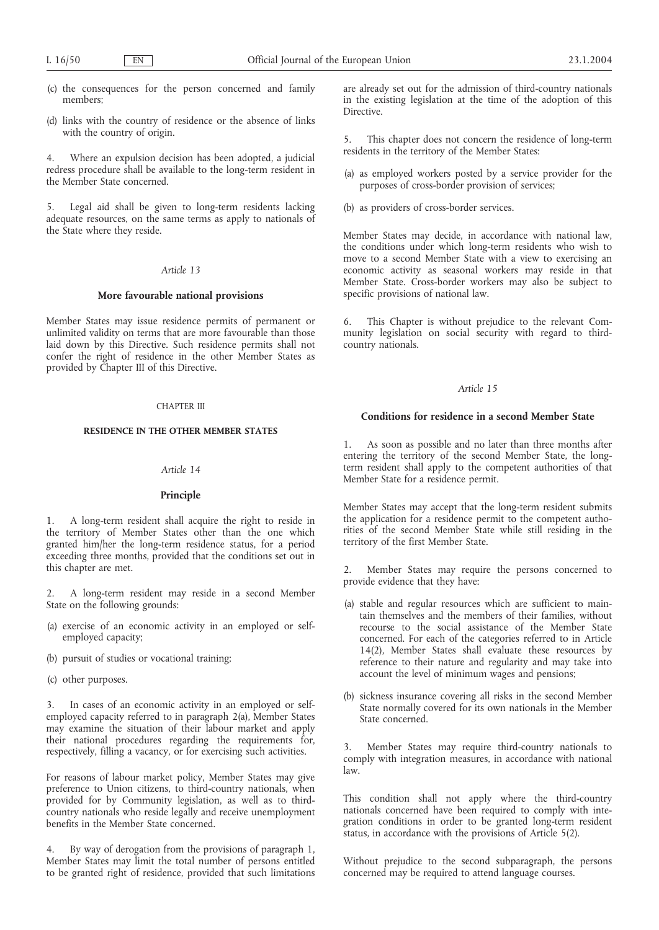- (c) the consequences for the person concerned and family members;
- (d) links with the country of residence or the absence of links with the country of origin.

4. Where an expulsion decision has been adopted, a judicial redress procedure shall be available to the long-term resident in the Member State concerned.

5. Legal aid shall be given to long-term residents lacking adequate resources, on the same terms as apply to nationals of the State where they reside.

## *Article 13*

# **More favourable national provisions**

Member States may issue residence permits of permanent or unlimited validity on terms that are more favourable than those laid down by this Directive. Such residence permits shall not confer the right of residence in the other Member States as provided by Chapter III of this Directive.

# CHAPTER III

### **RESIDENCE IN THE OTHER MEMBER STATES**

# *Article 14*

### **Principle**

1. A long-term resident shall acquire the right to reside in the territory of Member States other than the one which granted him/her the long-term residence status, for a period exceeding three months, provided that the conditions set out in this chapter are met.

2. A long-term resident may reside in a second Member State on the following grounds:

- (a) exercise of an economic activity in an employed or selfemployed capacity;
- (b) pursuit of studies or vocational training;
- (c) other purposes.

3. In cases of an economic activity in an employed or selfemployed capacity referred to in paragraph 2(a), Member States may examine the situation of their labour market and apply their national procedures regarding the requirements for, respectively, filling a vacancy, or for exercising such activities.

For reasons of labour market policy, Member States may give preference to Union citizens, to third-country nationals, when provided for by Community legislation, as well as to thirdcountry nationals who reside legally and receive unemployment benefits in the Member State concerned.

4. By way of derogation from the provisions of paragraph 1, Member States may limit the total number of persons entitled to be granted right of residence, provided that such limitations are already set out for the admission of third-country nationals in the existing legislation at the time of the adoption of this Directive.

5. This chapter does not concern the residence of long-term residents in the territory of the Member States:

- (a) as employed workers posted by a service provider for the purposes of cross-border provision of services;
- (b) as providers of cross-border services.

Member States may decide, in accordance with national law, the conditions under which long-term residents who wish to move to a second Member State with a view to exercising an economic activity as seasonal workers may reside in that Member State. Cross-border workers may also be subject to specific provisions of national law.

6. This Chapter is without prejudice to the relevant Community legislation on social security with regard to thirdcountry nationals.

### *Article 15*

# **Conditions for residence in a second Member State**

1. As soon as possible and no later than three months after entering the territory of the second Member State, the longterm resident shall apply to the competent authorities of that Member State for a residence permit.

Member States may accept that the long-term resident submits the application for a residence permit to the competent authorities of the second Member State while still residing in the territory of the first Member State.

Member States may require the persons concerned to provide evidence that they have:

- (a) stable and regular resources which are sufficient to maintain themselves and the members of their families, without recourse to the social assistance of the Member State concerned. For each of the categories referred to in Article 14(2), Member States shall evaluate these resources by reference to their nature and regularity and may take into account the level of minimum wages and pensions;
- (b) sickness insurance covering all risks in the second Member State normally covered for its own nationals in the Member State concerned.

3. Member States may require third-country nationals to comply with integration measures, in accordance with national law.

This condition shall not apply where the third-country nationals concerned have been required to comply with integration conditions in order to be granted long-term resident status, in accordance with the provisions of Article  $5(2)$ .

Without prejudice to the second subparagraph, the persons concerned may be required to attend language courses.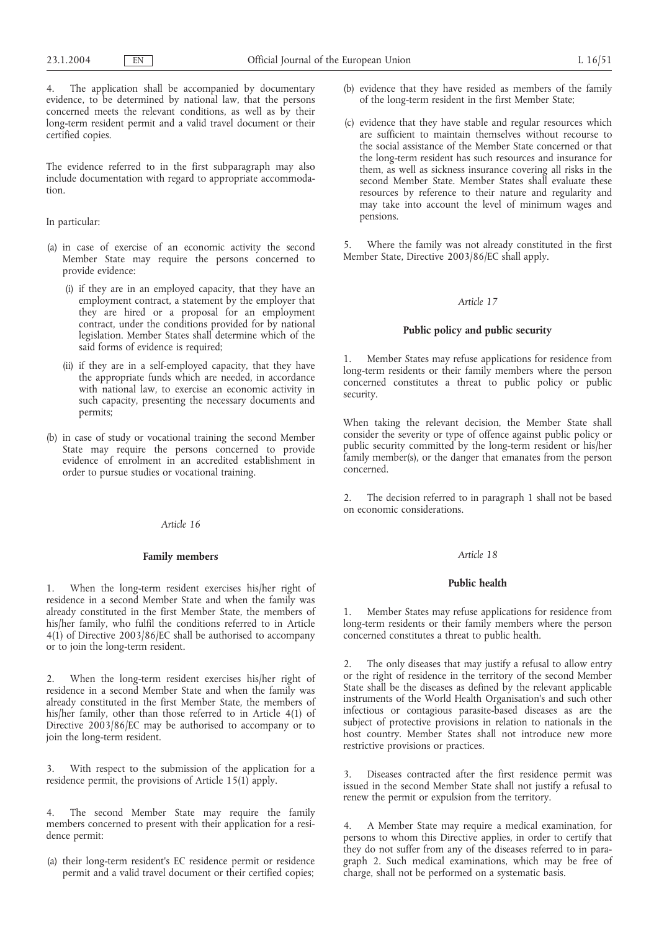4. The application shall be accompanied by documentary evidence, to be determined by national law, that the persons concerned meets the relevant conditions, as well as by their long-term resident permit and a valid travel document or their certified copies.

The evidence referred to in the first subparagraph may also include documentation with regard to appropriate accommodation.

In particular:

- (a) in case of exercise of an economic activity the second Member State may require the persons concerned to provide evidence:
	- (i) if they are in an employed capacity, that they have an employment contract, a statement by the employer that they are hired or a proposal for an employment contract, under the conditions provided for by national legislation. Member States shall determine which of the said forms of evidence is required;
	- (ii) if they are in a self-employed capacity, that they have the appropriate funds which are needed, in accordance with national law, to exercise an economic activity in such capacity, presenting the necessary documents and permits;
- (b) in case of study or vocational training the second Member State may require the persons concerned to provide evidence of enrolment in an accredited establishment in order to pursue studies or vocational training.

# *Article 16*

#### **Family members**

1. When the long-term resident exercises his/her right of residence in a second Member State and when the family was already constituted in the first Member State, the members of his/her family, who fulfil the conditions referred to in Article 4(1) of Directive 2003/86/EC shall be authorised to accompany or to join the long-term resident.

2. When the long-term resident exercises his/her right of residence in a second Member State and when the family was already constituted in the first Member State, the members of his/her family, other than those referred to in Article 4(1) of Directive 2003/86/EC may be authorised to accompany or to join the long-term resident.

3. With respect to the submission of the application for a residence permit, the provisions of Article 15(1) apply.

4. The second Member State may require the family members concerned to present with their application for a residence permit:

(a) their long-term resident's EC residence permit or residence permit and a valid travel document or their certified copies;

- (b) evidence that they have resided as members of the family of the long-term resident in the first Member State;
- (c) evidence that they have stable and regular resources which are sufficient to maintain themselves without recourse to the social assistance of the Member State concerned or that the long-term resident has such resources and insurance for them, as well as sickness insurance covering all risks in the second Member State. Member States shall evaluate these resources by reference to their nature and regularity and may take into account the level of minimum wages and pensions.

5. Where the family was not already constituted in the first Member State, Directive 2003/86/EC shall apply.

### *Article 17*

# **Public policy and public security**

1. Member States may refuse applications for residence from long-term residents or their family members where the person concerned constitutes a threat to public policy or public security.

When taking the relevant decision, the Member State shall consider the severity or type of offence against public policy or public security committed by the long-term resident or his/her family member(s), or the danger that emanates from the person concerned.

2. The decision referred to in paragraph 1 shall not be based on economic considerations.

### *Article 18*

### **Public health**

1. Member States may refuse applications for residence from long-term residents or their family members where the person concerned constitutes a threat to public health.

2. The only diseases that may justify a refusal to allow entry or the right of residence in the territory of the second Member State shall be the diseases as defined by the relevant applicable instruments of the World Health Organisation's and such other infectious or contagious parasite-based diseases as are the subject of protective provisions in relation to nationals in the host country. Member States shall not introduce new more restrictive provisions or practices.

3. Diseases contracted after the first residence permit was issued in the second Member State shall not justify a refusal to renew the permit or expulsion from the territory.

4. A Member State may require a medical examination, for persons to whom this Directive applies, in order to certify that they do not suffer from any of the diseases referred to in paragraph 2. Such medical examinations, which may be free of charge, shall not be performed on a systematic basis.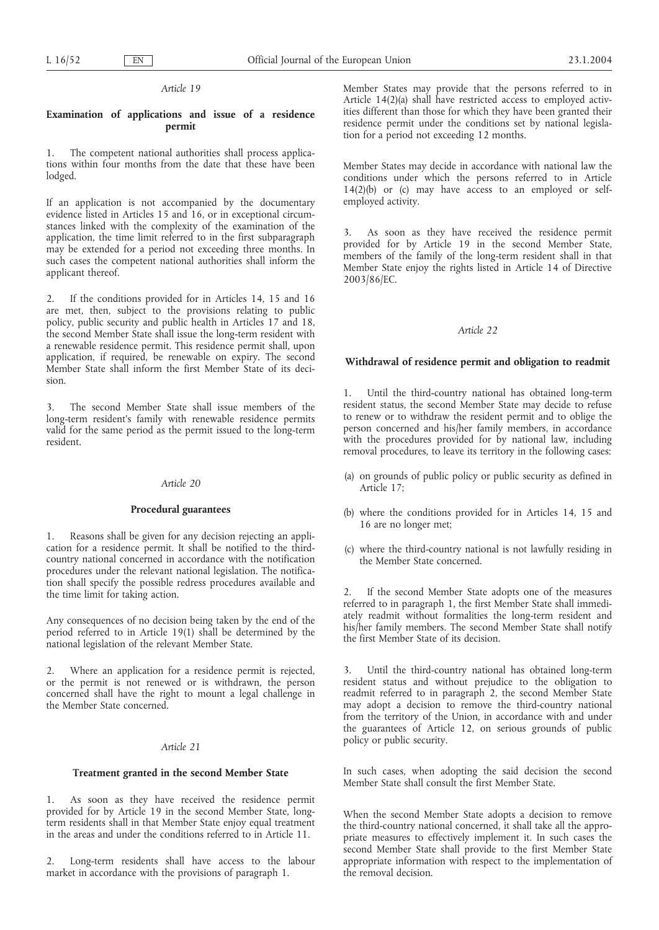### *Article 19*

# **Examination of applications and issue of a residence permit**

1. The competent national authorities shall process applications within four months from the date that these have been lodged.

If an application is not accompanied by the documentary evidence listed in Articles 15 and 16, or in exceptional circumstances linked with the complexity of the examination of the application, the time limit referred to in the first subparagraph may be extended for a period not exceeding three months. In such cases the competent national authorities shall inform the applicant thereof.

2. If the conditions provided for in Articles 14, 15 and 16 are met, then, subject to the provisions relating to public policy, public security and public health in Articles 17 and 18, the second Member State shall issue the long-term resident with a renewable residence permit. This residence permit shall, upon application, if required, be renewable on expiry. The second Member State shall inform the first Member State of its decision.

3. The second Member State shall issue members of the long-term resident's family with renewable residence permits valid for the same period as the permit issued to the long-term resident.

#### *Article 20*

#### **Procedural guarantees**

1. Reasons shall be given for any decision rejecting an application for a residence permit. It shall be notified to the thirdcountry national concerned in accordance with the notification procedures under the relevant national legislation. The notification shall specify the possible redress procedures available and the time limit for taking action.

Any consequences of no decision being taken by the end of the period referred to in Article 19(1) shall be determined by the national legislation of the relevant Member State.

2. Where an application for a residence permit is rejected, or the permit is not renewed or is withdrawn, the person concerned shall have the right to mount a legal challenge in the Member State concerned.

## *Article 21*

# **Treatment granted in the second Member State**

1. As soon as they have received the residence permit provided for by Article 19 in the second Member State, longterm residents shall in that Member State enjoy equal treatment in the areas and under the conditions referred to in Article 11.

Long-term residents shall have access to the labour market in accordance with the provisions of paragraph 1.

Member States may provide that the persons referred to in Article 14(2)(a) shall have restricted access to employed activities different than those for which they have been granted their residence permit under the conditions set by national legislation for a period not exceeding 12 months.

Member States may decide in accordance with national law the conditions under which the persons referred to in Article 14(2)(b) or (c) may have access to an employed or selfemployed activity.

3. As soon as they have received the residence permit provided for by Article 19 in the second Member State, members of the family of the long-term resident shall in that Member State enjoy the rights listed in Article 14 of Directive 2003/86/EC.

### *Article 22*

#### **Withdrawal of residence permit and obligation to readmit**

Until the third-country national has obtained long-term resident status, the second Member State may decide to refuse to renew or to withdraw the resident permit and to oblige the person concerned and his/her family members, in accordance with the procedures provided for by national law, including removal procedures, to leave its territory in the following cases:

- (a) on grounds of public policy or public security as defined in Article 17;
- (b) where the conditions provided for in Articles 14, 15 and 16 are no longer met;
- (c) where the third-country national is not lawfully residing in the Member State concerned.

2. If the second Member State adopts one of the measures referred to in paragraph 1, the first Member State shall immediately readmit without formalities the long-term resident and his/her family members. The second Member State shall notify the first Member State of its decision.

3. Until the third-country national has obtained long-term resident status and without prejudice to the obligation to readmit referred to in paragraph 2, the second Member State may adopt a decision to remove the third-country national from the territory of the Union, in accordance with and under the guarantees of Article 12, on serious grounds of public policy or public security.

In such cases, when adopting the said decision the second Member State shall consult the first Member State.

When the second Member State adopts a decision to remove the third-country national concerned, it shall take all the appropriate measures to effectively implement it. In such cases the second Member State shall provide to the first Member State appropriate information with respect to the implementation of the removal decision.